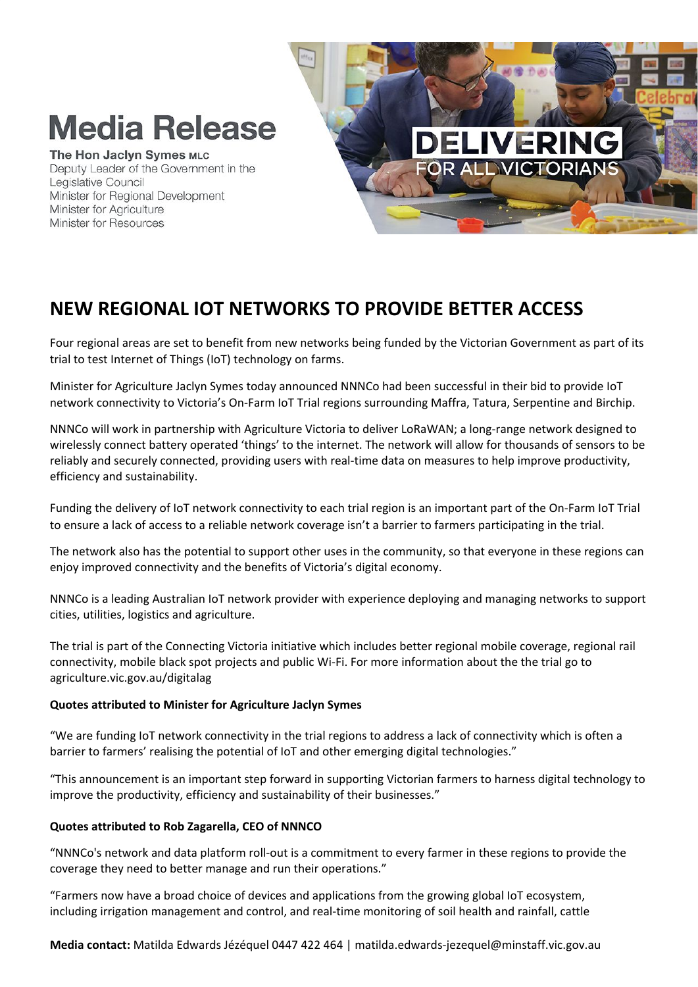# **Media Release**

### The Hon Jaclyn Symes MLC

Deputy Leader of the Government in the Legislative Council Minister for Regional Development Minister for Agriculture Minister for Resources



## **NEW REGIONAL IOT NETWORKS TO PROVIDE BETTER ACCESS**

Four regional areas are set to benefit from new networks being funded by the Victorian Government as part of its trial to test Internet of Things (IoT) technology on farms.

Minister for Agriculture Jaclyn Symes today announced NNNCo had been successful in their bid to provide IoT network connectivity to Victoria's On-Farm IoT Trial regions surrounding Maffra, Tatura, Serpentine and Birchip.

NNNCo will work in partnership with Agriculture Victoria to deliver LoRaWAN; a long-range network designed to wirelessly connect battery operated 'things' to the internet. The network will allow for thousands of sensors to be reliably and securely connected, providing users with real-time data on measures to help improve productivity, efficiency and sustainability.

Funding the delivery of IoT network connectivity to each trial region is an important part of the On-Farm IoT Trial to ensure a lack of access to a reliable network coverage isn't a barrier to farmers participating in the trial.

The network also has the potential to support other uses in the community, so that everyone in these regions can enjoy improved connectivity and the benefits of Victoria's digital economy.

NNNCo is a leading Australian IoT network provider with experience deploying and managing networks to support cities, utilities, logistics and agriculture.

The trial is part of the Connecting Victoria initiative which includes better regional mobile coverage, regional rail connectivity, mobile black spot projects and public Wi-Fi. For more information about the the trial go to agriculture.vic.gov.au/digitalag

### **Quotes attributed to Minister for Agriculture Jaclyn Symes**

"We are funding IoT network connectivity in the trial regions to address a lack of connectivity which is often a barrier to farmers' realising the potential of IoT and other emerging digital technologies."

"This announcement is an important step forward in supporting Victorian farmers to harness digital technology to improve the productivity, efficiency and sustainability of their businesses."

### **Quotes attributed to Rob Zagarella, CEO of NNNCO**

"NNNCo's network and data platform roll-out is a commitment to every farmer in these regions to provide the coverage they need to better manage and run their operations."

"Farmers now have a broad choice of devices and applications from the growing global IoT ecosystem, including irrigation management and control, and real-time monitoring of soil health and rainfall, cattle

**Media contact:** Matilda Edwards Jézéquel 0447 422 464 | matilda.edwards-jezequel@minstaff.vic.gov.au